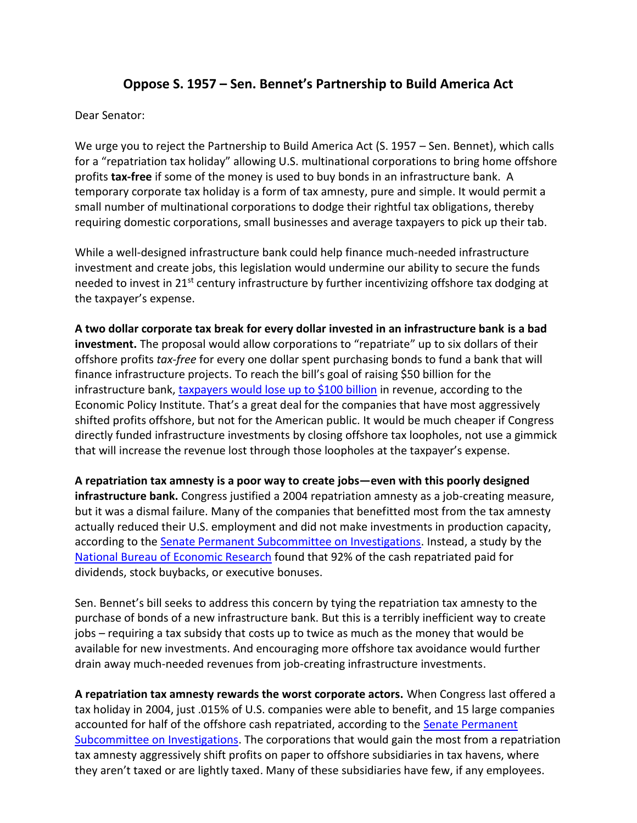## **Oppose S. 1957 – Sen. Bennet's Partnership to Build America Act**

## Dear Senator:

We urge you to reject the Partnership to Build America Act (S. 1957 – Sen. Bennet), which calls for a "repatriation tax holiday" allowing U.S. multinational corporations to bring home offshore profits **tax-free** if some of the money is used to buy bonds in an infrastructure bank. A temporary corporate tax holiday is a form of tax amnesty, pure and simple. It would permit a small number of multinational corporations to dodge their rightful tax obligations, thereby requiring domestic corporations, small businesses and average taxpayers to pick up their tab.

While a well-designed infrastructure bank could help finance much-needed infrastructure investment and create jobs, this legislation would undermine our ability to secure the funds needed to invest in  $21^{st}$  century infrastructure by further incentivizing offshore tax dodging at the taxpayer's expense.

**A two dollar corporate tax break for every dollar invested in an infrastructure bank is a bad investment.** The proposal would allow corporations to "repatriate" up to six dollars of their offshore profits *tax-free* for every one dollar spent purchasing bonds to fund a bank that will finance infrastructure projects. To reach the bill's goal of raising \$50 billion for the infrastructure bank, [taxpayers would lose up to \\$100 billion](http://s4.epi.org/files/2014/how-not-to-fund-infrastructure-bank.pdf) in revenue, according to the Economic Policy Institute. That's a great deal for the companies that have most aggressively shifted profits offshore, but not for the American public. It would be much cheaper if Congress directly funded infrastructure investments by closing offshore tax loopholes, not use a gimmick that will increase the revenue lost through those loopholes at the taxpayer's expense.

**A repatriation tax amnesty is a poor way to create jobs—even with this poorly designed infrastructure bank.** Congress justified a 2004 repatriation amnesty as a job-creating measure, but it was a dismal failure. Many of the companies that benefitted most from the tax amnesty actually reduced their U.S. employment and did not make investments in production capacity, according to the [Senate Permanent Subcommittee on Investigations.](http://www.hsgac.senate.gov/download/report-psi-majority-staff-report_-repatriating-offshore-funds-oct-2011) Instead, a study by the [National Bureau of Economic Research](http://www.nber.org/papers/w15023) found that 92% of the cash repatriated paid for dividends, stock buybacks, or executive bonuses.

Sen. Bennet's bill seeks to address this concern by tying the repatriation tax amnesty to the purchase of bonds of a new infrastructure bank. But this is a terribly inefficient way to create jobs – requiring a tax subsidy that costs up to twice as much as the money that would be available for new investments. And encouraging more offshore tax avoidance would further drain away much-needed revenues from job-creating infrastructure investments.

**A repatriation tax amnesty rewards the worst corporate actors.** When Congress last offered a tax holiday in 2004, just .015% of U.S. companies were able to benefit, and 15 large companies accounted for half of the offshore cash repatriated, according to the Senate Permanent [Subcommittee on Investigations.](http://www.hsgac.senate.gov/download/report-psi-majority-staff-report_-repatriating-offshore-funds-oct-2011) The corporations that would gain the most from a repatriation tax amnesty aggressively shift profits on paper to offshore subsidiaries in tax havens, where they aren't taxed or are lightly taxed. Many of these subsidiaries have few, if any employees.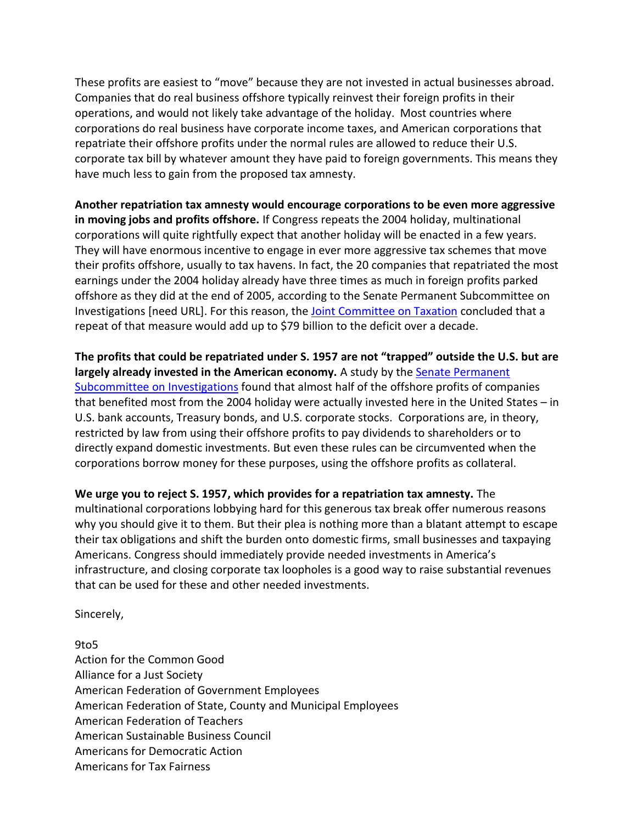These profits are easiest to "move" because they are not invested in actual businesses abroad. Companies that do real business offshore typically reinvest their foreign profits in their operations, and would not likely take advantage of the holiday. Most countries where corporations do real business have corporate income taxes, and American corporations that repatriate their offshore profits under the normal rules are allowed to reduce their U.S. corporate tax bill by whatever amount they have paid to foreign governments. This means they have much less to gain from the proposed tax amnesty.

**Another repatriation tax amnesty would encourage corporations to be even more aggressive in moving jobs and profits offshore.** If Congress repeats the 2004 holiday, multinational corporations will quite rightfully expect that another holiday will be enacted in a few years. They will have enormous incentive to engage in ever more aggressive tax schemes that move their profits offshore, usually to tax havens. In fact, the 20 companies that repatriated the most earnings under the 2004 holiday already have three times as much in foreign profits parked offshore as they did at the end of 2005, according to the Senate Permanent Subcommittee on Investigations [need URL]. For this reason, the [Joint Committee on Taxation](http://www.ctj.org/pdf/jct_repatriationholiday.pdf) concluded that a repeat of that measure would add up to \$79 billion to the deficit over a decade.

**The profits that could be repatriated under S. 1957 are not "trapped" outside the U.S. but are largely already invested in the American economy.** A study by th[e Senate Permanent](http://www.hsgac.senate.gov/download/report-addendum_-psi-majority-staff-report-offshore-funds-located-onshore)  [Subcommittee on Investigations](http://www.hsgac.senate.gov/download/report-addendum_-psi-majority-staff-report-offshore-funds-located-onshore) found that almost half of the offshore profits of companies that benefited most from the 2004 holiday were actually invested here in the United States – in U.S. bank accounts, Treasury bonds, and U.S. corporate stocks. Corporations are, in theory, restricted by law from using their offshore profits to pay dividends to shareholders or to directly expand domestic investments. But even these rules can be circumvented when the corporations borrow money for these purposes, using the offshore profits as collateral.

**We urge you to reject S. 1957, which provides for a repatriation tax amnesty.** The multinational corporations lobbying hard for this generous tax break offer numerous reasons why you should give it to them. But their plea is nothing more than a blatant attempt to escape their tax obligations and shift the burden onto domestic firms, small businesses and taxpaying Americans. Congress should immediately provide needed investments in America's infrastructure, and closing corporate tax loopholes is a good way to raise substantial revenues that can be used for these and other needed investments.

Sincerely,

## 9to5 Action for the Common Good Alliance for a Just Society American Federation of Government Employees American Federation of State, County and Municipal Employees American Federation of Teachers American Sustainable Business Council Americans for Democratic Action Americans for Tax Fairness